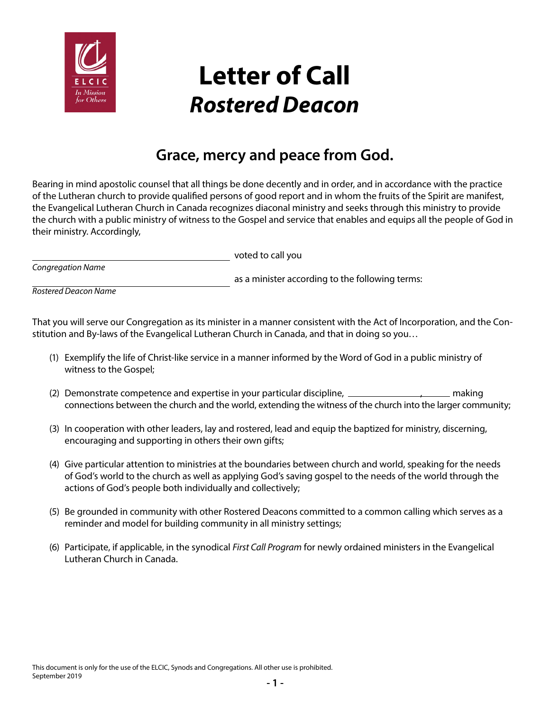

## **Letter of Call** *Rostered Deacon*

## **Grace, mercy and peace from God.**

Bearing in mind apostolic counsel that all things be done decently and in order, and in accordance with the practice of the Lutheran church to provide qualified persons of good report and in whom the fruits of the Spirit are manifest, the Evangelical Lutheran Church in Canada recognizes diaconal ministry and seeks through this ministry to provide the church with a public ministry of witness to the Gospel and service that enables and equips all the people of God in their ministry. Accordingly,

voted to call you *Congregation Name*

as a minister according to the following terms:

*Rostered Deacon Name*

That you will serve our Congregation as its minister in a manner consistent with the Act of Incorporation, and the Constitution and By-laws of the Evangelical Lutheran Church in Canada, and that in doing so you…

- (1) Exemplify the life of Christ-like service in a manner informed by the Word of God in a public ministry of witness to the Gospel;
- (2) Demonstrate competence and expertise in your particular discipline,  $\frac{1}{1-\frac{1}{2}}$  making connections between the church and the world, extending the witness of the church into the larger community;
- (3) In cooperation with other leaders, lay and rostered, lead and equip the baptized for ministry, discerning, encouraging and supporting in others their own gifts;
- (4) Give particular attention to ministries at the boundaries between church and world, speaking for the needs of God's world to the church as well as applying God's saving gospel to the needs of the world through the actions of God's people both individually and collectively;
- (5) Be grounded in community with other Rostered Deacons committed to a common calling which serves as a reminder and model for building community in all ministry settings;
- (6) Participate, if applicable, in the synodical *First Call Program* for newly ordained ministers in the Evangelical Lutheran Church in Canada.